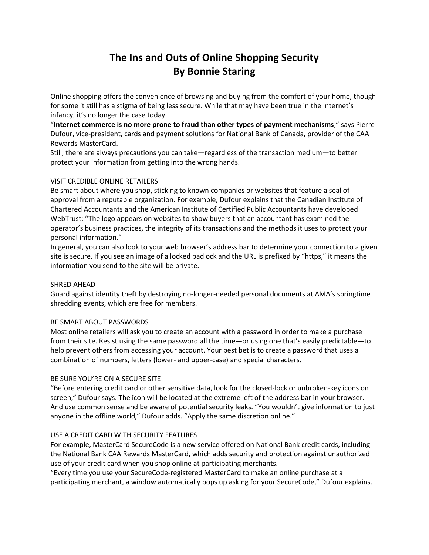# **The Ins and Outs of Online Shopping Security By Bonnie Staring**

Online shopping offers the convenience of browsing and buying from the comfort of your home, though for some it still has a stigma of being less secure. While that may have been true in the Internet's infancy, it's no longer the case today.

"**Internet commerce is no more prone to fraud than other types of payment mechanisms**," says Pierre Dufour, vice-president, cards and payment solutions for National Bank of Canada, provider of the CAA Rewards MasterCard.

Still, there are always precautions you can take—regardless of the transaction medium—to better protect your information from getting into the wrong hands.

## VISIT CREDIBLE ONLINE RETAILERS

Be smart about where you shop, sticking to known companies or websites that feature a seal of approval from a reputable organization. For example, Dufour explains that the Canadian Institute of Chartered Accountants and the American Institute of Certified Public Accountants have developed WebTrust: "The logo appears on websites to show buyers that an accountant has examined the operator's business practices, the integrity of its transactions and the methods it uses to protect your personal information."

In general, you can also look to your web browser's address bar to determine your connection to a given site is secure. If you see an image of a locked padlock and the URL is prefixed by "https," it means the information you send to the site will be private.

## SHRED AHEAD

Guard against identity theft by destroying no-longer-needed personal documents at AMA's springtime shredding events, which are free for members.

## BE SMART ABOUT PASSWORDS

Most online retailers will ask you to create an account with a password in order to make a purchase from their site. Resist using the same password all the time—or using one that's easily predictable—to help prevent others from accessing your account. Your best bet is to create a password that uses a combination of numbers, letters (lower- and upper-case) and special characters.

## BE SURE YOU'RE ON A SECURE SITE

"Before entering credit card or other sensitive data, look for the closed-lock or unbroken-key icons on screen," Dufour says. The icon will be located at the extreme left of the address bar in your browser. And use common sense and be aware of potential security leaks. "You wouldn't give information to just anyone in the offline world," Dufour adds. "Apply the same discretion online."

## USE A CREDIT CARD WITH SECURITY FEATURES

For example, MasterCard SecureCode is a new service offered on National Bank credit cards, including the National Bank CAA Rewards MasterCard, which adds security and protection against unauthorized use of your credit card when you shop online at participating merchants.

"Every time you use your SecureCode-registered MasterCard to make an online purchase at a participating merchant, a window automatically pops up asking for your SecureCode," Dufour explains.